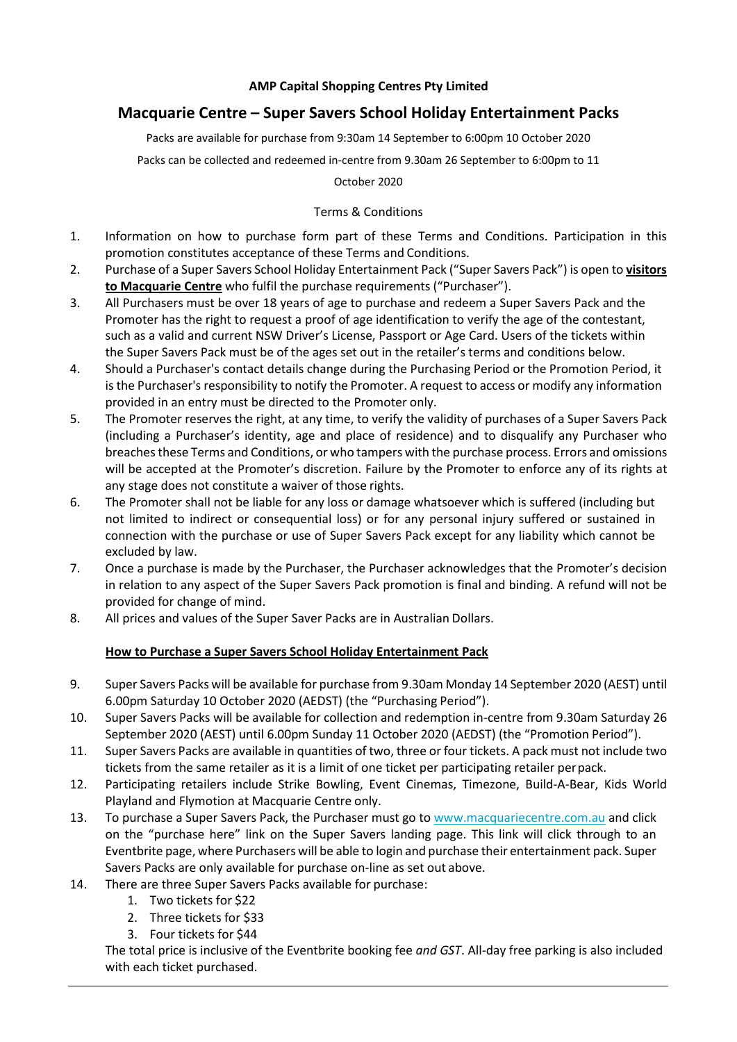## **AMP Capital Shopping Centres Pty Limited**

# **Macquarie Centre – Super Savers School Holiday Entertainment Packs**

Packs are available for purchase from 9:30am 14 September to 6:00pm 10 October 2020

Packs can be collected and redeemed in-centre from 9.30am 26 September to 6:00pm to 11

October 2020

### Terms & Conditions

- 1. Information on how to purchase form part of these Terms and Conditions. Participation in this promotion constitutes acceptance of these Terms and Conditions.
- 2. Purchase of a Super Savers School Holiday Entertainment Pack ("Super Savers Pack") is open to **visitors to Macquarie Centre** who fulfil the purchase requirements ("Purchaser").
- 3. All Purchasers must be over 18 years of age to purchase and redeem a Super Savers Pack and the Promoter has the right to request a proof of age identification to verify the age of the contestant, such as a valid and current NSW Driver's License, Passport or Age Card. Users of the tickets within the Super Savers Pack must be of the ages set out in the retailer's terms and conditions below.
- 4. Should a Purchaser's contact details change during the Purchasing Period or the Promotion Period, it is the Purchaser's responsibility to notify the Promoter. A request to access or modify any information provided in an entry must be directed to the Promoter only.
- 5. The Promoter reserves the right, at any time, to verify the validity of purchases of a Super Savers Pack (including a Purchaser's identity, age and place of residence) and to disqualify any Purchaser who breachesthese Terms and Conditions, or who tampers with the purchase process. Errors and omissions will be accepted at the Promoter's discretion. Failure by the Promoter to enforce any of its rights at any stage does not constitute a waiver of those rights.
- 6. The Promoter shall not be liable for any loss or damage whatsoever which is suffered (including but not limited to indirect or consequential loss) or for any personal injury suffered or sustained in connection with the purchase or use of Super Savers Pack except for any liability which cannot be excluded by law.
- 7. Once a purchase is made by the Purchaser, the Purchaser acknowledges that the Promoter's decision in relation to any aspect of the Super Savers Pack promotion is final and binding. A refund will not be provided for change of mind.
- 8. All prices and values of the Super Saver Packs are in Australian Dollars.

## **How to Purchase a Super Savers School Holiday Entertainment Pack**

- 9. Super Savers Packs will be available for purchase from 9.30am Monday 14 September 2020 (AEST) until 6.00pm Saturday 10 October 2020 (AEDST) (the "Purchasing Period").
- 10. Super Savers Packs will be available for collection and redemption in-centre from 9.30am Saturday 26 September 2020 (AEST) until 6.00pm Sunday 11 October 2020 (AEDST) (the "Promotion Period").
- 11. Super Savers Packs are available in quantities of two, three or four tickets. A pack must not include two tickets from the same retailer as it is a limit of one ticket per participating retailer perpack.
- 12. Participating retailers include Strike Bowling, Event Cinemas, Timezone, Build-A-Bear, Kids World Playland and Flymotion at Macquarie Centre only.
- 13. To purchase a Super Savers Pack, the Purchaser must go to [www.macquariecentre.com.au](http://www.macquariecentre.com.au/) and click on the "purchase here" link on the Super Savers landing page. This link will click through to an Eventbrite page, where Purchasers will be able to login and purchase their entertainment pack. Super Savers Packs are only available for purchase on-line as set out above.
- 14. There are three Super Savers Packs available for purchase:
	- 1. Two tickets for \$22
	- 2. Three tickets for \$33
	- 3. Four tickets for \$44

The total price is inclusive of the Eventbrite booking fee *and GST*. All-day free parking is also included with each ticket purchased.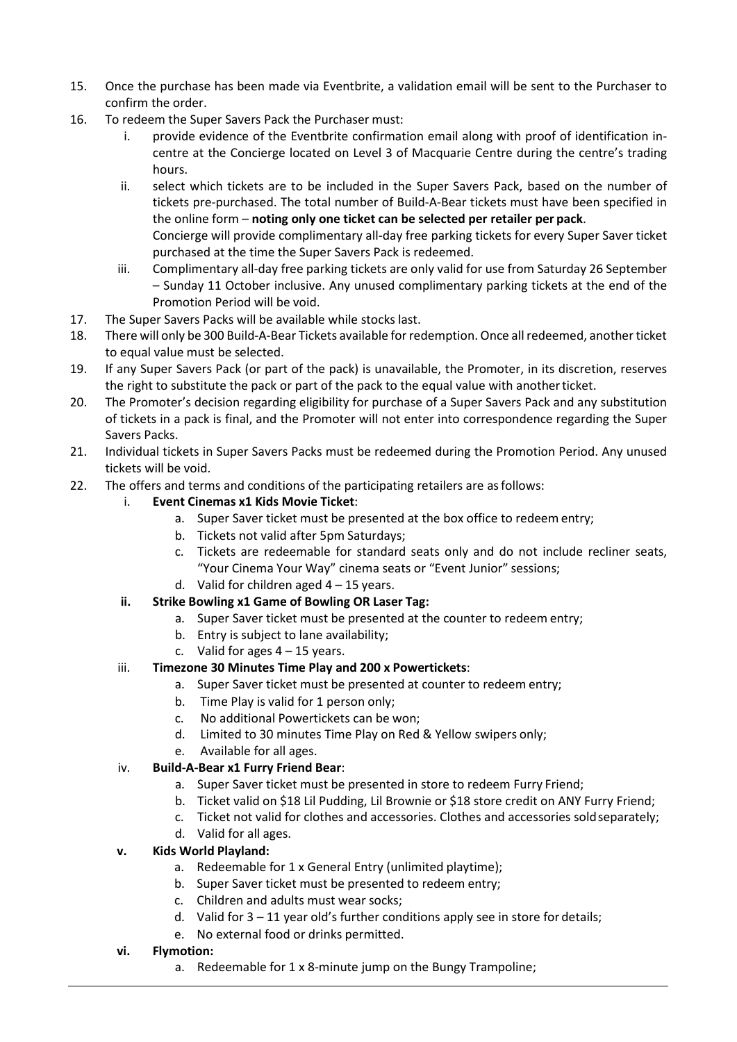- 15. Once the purchase has been made via Eventbrite, a validation email will be sent to the Purchaser to confirm the order.
- 16. To redeem the Super Savers Pack the Purchaser must:
	- i. provide evidence of the Eventbrite confirmation email along with proof of identification incentre at the Concierge located on Level 3 of Macquarie Centre during the centre's trading hours.
	- ii. select which tickets are to be included in the Super Savers Pack, based on the number of tickets pre-purchased. The total number of Build-A-Bear tickets must have been specified in the online form – **noting only one ticket can be selected per retailer per pack**. Concierge will provide complimentary all-day free parking tickets for every Super Saver ticket purchased at the time the Super Savers Pack is redeemed.
	- iii. Complimentary all-day free parking tickets are only valid for use from Saturday 26 September – Sunday 11 October inclusive. Any unused complimentary parking tickets at the end of the Promotion Period will be void.
- 17. The Super Savers Packs will be available while stocks last.
- 18. There will only be 300 Build-A-Bear Tickets available for redemption. Once all redeemed, another ticket to equal value must be selected.
- 19. If any Super Savers Pack (or part of the pack) is unavailable, the Promoter, in its discretion, reserves the right to substitute the pack or part of the pack to the equal value with anotherticket.
- 20. The Promoter's decision regarding eligibility for purchase of a Super Savers Pack and any substitution of tickets in a pack is final, and the Promoter will not enter into correspondence regarding the Super Savers Packs.
- 21. Individual tickets in Super Savers Packs must be redeemed during the Promotion Period. Any unused tickets will be void.
- 22. The offers and terms and conditions of the participating retailers are asfollows:
	- i. **Event Cinemas x1 Kids Movie Ticket**:
		- a. Super Saver ticket must be presented at the box office to redeem entry;
			- b. Tickets not valid after 5pm Saturdays;
			- c. Tickets are redeemable for standard seats only and do not include recliner seats, "Your Cinema Your Way" cinema seats or "Event Junior" sessions;
			- d. Valid for children aged  $4 15$  years.
	- **ii. Strike Bowling x1 Game of Bowling OR Laser Tag:**
		- a. Super Saver ticket must be presented at the counter to redeem entry;
		- b. Entry is subject to lane availability;
		- c. Valid for ages  $4 15$  years.

## iii. **Timezone 30 Minutes Time Play and 200 x Powertickets**:

- a. Super Saver ticket must be presented at counter to redeem entry;
- b. Time Play is valid for 1 person only;
- c. No additional Powertickets can be won;
- d. Limited to 30 minutes Time Play on Red & Yellow swipers only;
- e. Available for all ages.

## iv. **Build-A-Bear x1 Furry Friend Bear**:

- a. Super Saver ticket must be presented in store to redeem Furry Friend;
- b. Ticket valid on \$18 Lil Pudding, Lil Brownie or \$18 store credit on ANY Furry Friend;
- c. Ticket not valid for clothes and accessories. Clothes and accessories soldseparately;
- d. Valid for all ages.

## **v. Kids World Playland:**

- a. Redeemable for 1 x General Entry (unlimited playtime);
- b. Super Saver ticket must be presented to redeem entry;
- c. Children and adults must wear socks;
- d. Valid for  $3 11$  year old's further conditions apply see in store for details;
- e. No external food or drinks permitted.

## **vi. Flymotion:**

a. Redeemable for 1 x 8-minute jump on the Bungy Trampoline;